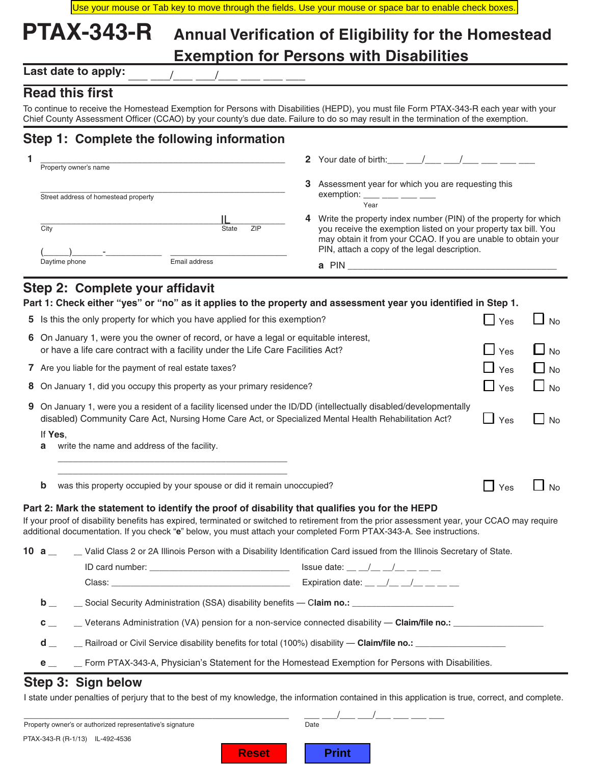Use your mouse or Tab key to move through the fields. Use your mouse or space bar to enable check boxes.

# **PTAX-343-R Annual Verification of Eligibility for the Homestead Exemption for Persons with Disabilities**

| Last date to apply: |  |  |  |
|---------------------|--|--|--|
|---------------------|--|--|--|

## **Read this first**

To continue to receive the Homestead Exemption for Persons with Disabilities (HEPD), you must file Form PTAX-343-R each year with your Chief County Assessment Officer (CCAO) by your county's due date. Failure to do so may result in the termination of the exemption.

# **Step 1: Complete the following information**

#### **1** \_\_\_\_\_\_\_\_\_\_\_\_\_\_\_\_\_\_\_\_\_\_\_\_\_\_\_\_\_\_\_\_\_\_\_\_\_\_\_\_\_\_\_\_\_\_\_\_ Property owner's name Street address of homestead property  $\overline{\text{City}}$  State ZIP (\_\_\_\_\_)\_\_\_\_\_\_-\_\_\_\_\_\_\_\_\_\_\_ \_\_\_\_\_\_\_\_\_\_\_\_\_\_\_\_\_\_\_\_\_\_\_ Daytime phone Email address **2** Your date of birth: $\frac{1}{2}$ **3** Assessment year for which you are requesting this exemption: Year **4** Write the property index number (PIN) of the property for which you receive the exemption listed on your property tax bill. You may obtain it from your CCAO. If you are unable to obtain your PIN, attach a copy of the legal description. **a** PIN  $\frac{1}{\frac{R_{\text{data}}}{R_{\text{data}}}}$

I

## **Step 2: Complete your affidavit**

| Part 1: Check either "yes" or "no" as it applies to the property and assessment year you identified in Step 1.                                                                                                                                                                                                                                                        |            |           |
|-----------------------------------------------------------------------------------------------------------------------------------------------------------------------------------------------------------------------------------------------------------------------------------------------------------------------------------------------------------------------|------------|-----------|
| 5 Is this the only property for which you have applied for this exemption?                                                                                                                                                                                                                                                                                            | $\Box$ Yes | $\Box$ No |
| 6 On January 1, were you the owner of record, or have a legal or equitable interest,<br>or have a life care contract with a facility under the Life Care Facilities Act?                                                                                                                                                                                              | $\Box$ Yes | $\Box$ No |
| 7 Are you liable for the payment of real estate taxes?                                                                                                                                                                                                                                                                                                                | $\Box$ Yes | $\Box$ No |
| 8 On January 1, did you occupy this property as your primary residence?                                                                                                                                                                                                                                                                                               | $\Box$ Yes | $\Box$ No |
| 9 On January 1, were you a resident of a facility licensed under the ID/DD (intellectually disabled/developmentally<br>disabled) Community Care Act, Nursing Home Care Act, or Specialized Mental Health Rehabilitation Act?                                                                                                                                          | $\Box$ Yes | $\Box$ No |
| If Yes,<br>write the name and address of the facility.<br>a                                                                                                                                                                                                                                                                                                           |            |           |
| <u> 1980 - John Stein, Amerikaansk politiker († 1908)</u><br>$\mathbf b$<br>was this property occupied by your spouse or did it remain unoccupied?                                                                                                                                                                                                                    | $\Box$ Yes | $\Box$ No |
| Part 2: Mark the statement to identify the proof of disability that qualifies you for the HEPD<br>If your proof of disability benefits has expired, terminated or switched to retirement from the prior assessment year, your CCAO may require<br>additional documentation. If you check "e" below, you must attach your completed Form PTAX-343-A. See instructions. |            |           |
| 10 $a_{-}$<br>_ Valid Class 2 or 2A Illinois Person with a Disability Identification Card issued from the Illinois Secretary of State.                                                                                                                                                                                                                                |            |           |
|                                                                                                                                                                                                                                                                                                                                                                       |            |           |
|                                                                                                                                                                                                                                                                                                                                                                       |            |           |
| $\mathbf{b}_{-}$<br>__ Social Security Administration (SSA) disability benefits - Claim no.: _________________________________                                                                                                                                                                                                                                        |            |           |
| Ueterans Administration (VA) pension for a non-service connected disability - Claim/file no.: _______________<br>$c_{-}$                                                                                                                                                                                                                                              |            |           |
| $d_{-}$<br>__ Railroad or Civil Service disability benefits for total (100%) disability - Claim/file no.: _______________                                                                                                                                                                                                                                             |            |           |
| _ Form PTAX-343-A, Physician's Statement for the Homestead Exemption for Persons with Disabilities.<br>e i                                                                                                                                                                                                                                                            |            |           |
| Step 3: Sign below                                                                                                                                                                                                                                                                                                                                                    |            |           |
| I state under penalties of perjury that to the best of my knowledge, the information contained in this application is true, correct, and complete.                                                                                                                                                                                                                    |            |           |

#### \_\_\_\_\_\_\_\_\_\_\_\_\_\_\_\_\_\_\_\_\_\_\_\_\_\_\_\_\_\_\_\_\_\_\_\_\_\_\_\_\_\_\_\_\_\_\_\_\_\_\_\_ \_\_\_ \_\_\_/\_\_\_ \_\_\_/\_\_\_ \_\_\_ \_\_\_ \_\_\_ Property owner's or authorized representative's signature **Date**

| PTAX-343-R (R-1/13) IL-492-4536 |  |
|---------------------------------|--|
|                                 |  |